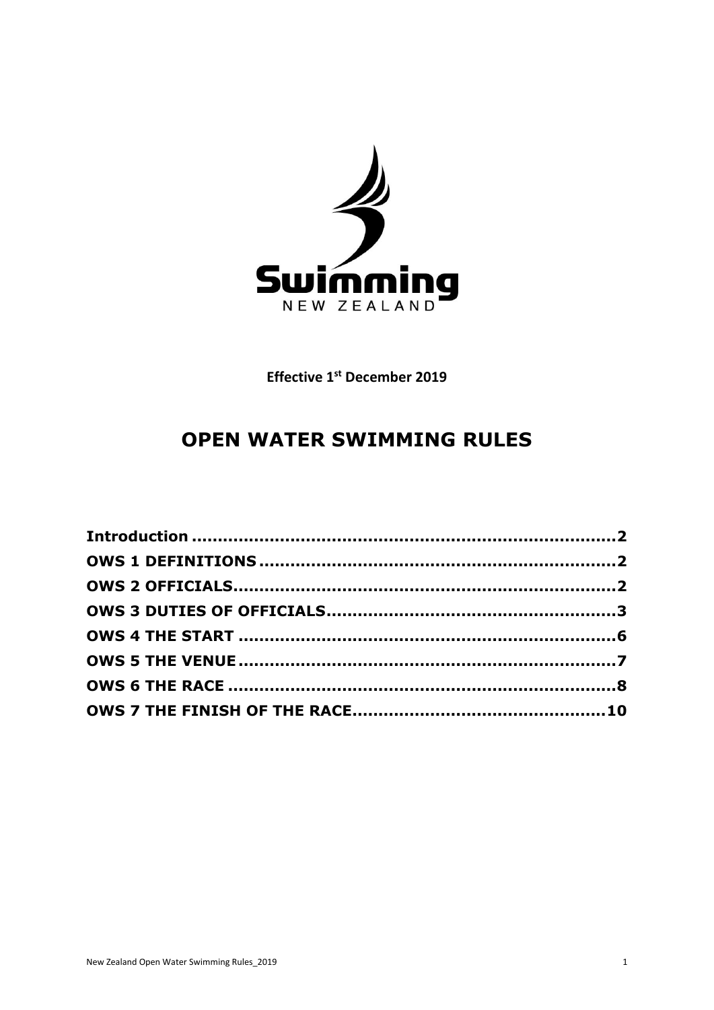

**Effective 1st December 2019** 

# **OPEN WATER SWIMMING RULES**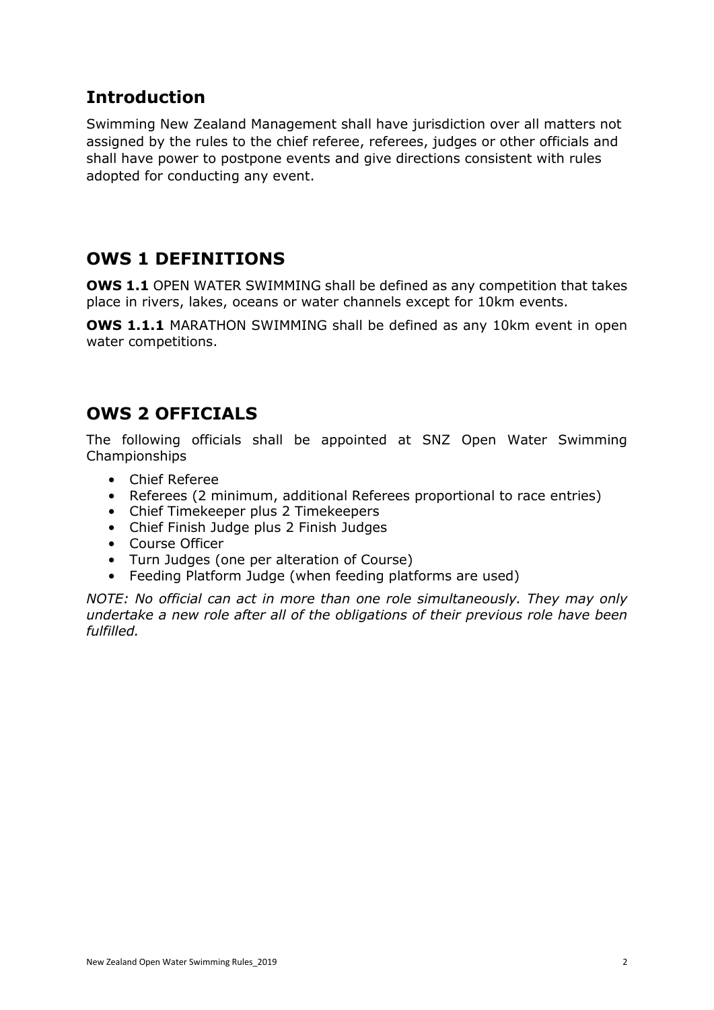## <span id="page-1-0"></span>**Introduction**

Swimming New Zealand Management shall have jurisdiction over all matters not assigned by the rules to the chief referee, referees, judges or other officials and shall have power to postpone events and give directions consistent with rules adopted for conducting any event.

# <span id="page-1-1"></span>**OWS 1 DEFINITIONS**

**OWS 1.1** OPEN WATER SWIMMING shall be defined as any competition that takes place in rivers, lakes, oceans or water channels except for 10km events.

**OWS 1.1.1** MARATHON SWIMMING shall be defined as any 10km event in open water competitions.

## <span id="page-1-2"></span>**OWS 2 OFFICIALS**

The following officials shall be appointed at SNZ Open Water Swimming Championships

- Chief Referee
- Referees (2 minimum, additional Referees proportional to race entries)
- Chief Timekeeper plus 2 Timekeepers
- Chief Finish Judge plus 2 Finish Judges
- Course Officer
- Turn Judges (one per alteration of Course)
- Feeding Platform Judge (when feeding platforms are used)

*NOTE: No official can act in more than one role simultaneously. They may only undertake a new role after all of the obligations of their previous role have been fulfilled.*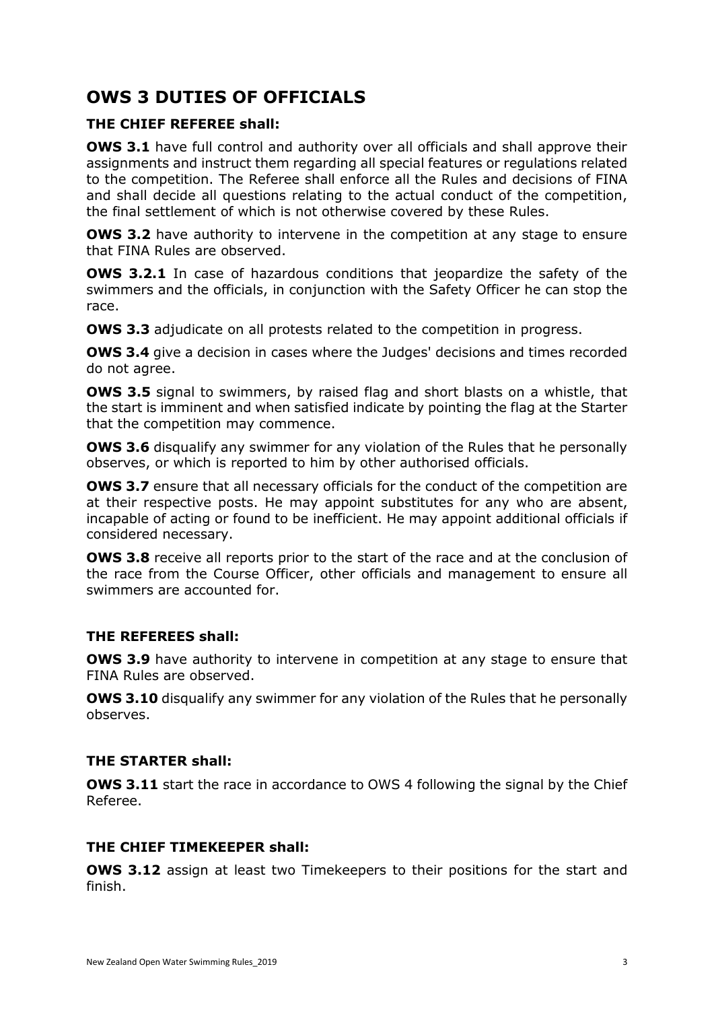# <span id="page-2-0"></span>**OWS 3 DUTIES OF OFFICIALS**

## **THE CHIEF REFEREE shall:**

**OWS 3.1** have full control and authority over all officials and shall approve their assignments and instruct them regarding all special features or regulations related to the competition. The Referee shall enforce all the Rules and decisions of FINA and shall decide all questions relating to the actual conduct of the competition, the final settlement of which is not otherwise covered by these Rules.

**OWS 3.2** have authority to intervene in the competition at any stage to ensure that FINA Rules are observed.

**OWS 3.2.1** In case of hazardous conditions that jeopardize the safety of the swimmers and the officials, in conjunction with the Safety Officer he can stop the race.

**OWS 3.3** adjudicate on all protests related to the competition in progress.

**OWS 3.4** give a decision in cases where the Judges' decisions and times recorded do not agree.

**OWS 3.5** signal to swimmers, by raised flag and short blasts on a whistle, that the start is imminent and when satisfied indicate by pointing the flag at the Starter that the competition may commence.

**OWS 3.6** disqualify any swimmer for any violation of the Rules that he personally observes, or which is reported to him by other authorised officials.

**OWS 3.7** ensure that all necessary officials for the conduct of the competition are at their respective posts. He may appoint substitutes for any who are absent, incapable of acting or found to be inefficient. He may appoint additional officials if considered necessary.

**OWS 3.8** receive all reports prior to the start of the race and at the conclusion of the race from the Course Officer, other officials and management to ensure all swimmers are accounted for.

## **THE REFEREES shall:**

**OWS 3.9** have authority to intervene in competition at any stage to ensure that FINA Rules are observed.

**OWS 3.10** disqualify any swimmer for any violation of the Rules that he personally observes.

## **THE STARTER shall:**

**OWS 3.11** start the race in accordance to OWS 4 following the signal by the Chief Referee.

## **THE CHIEF TIMEKEEPER shall:**

**OWS 3.12** assign at least two Timekeepers to their positions for the start and finish.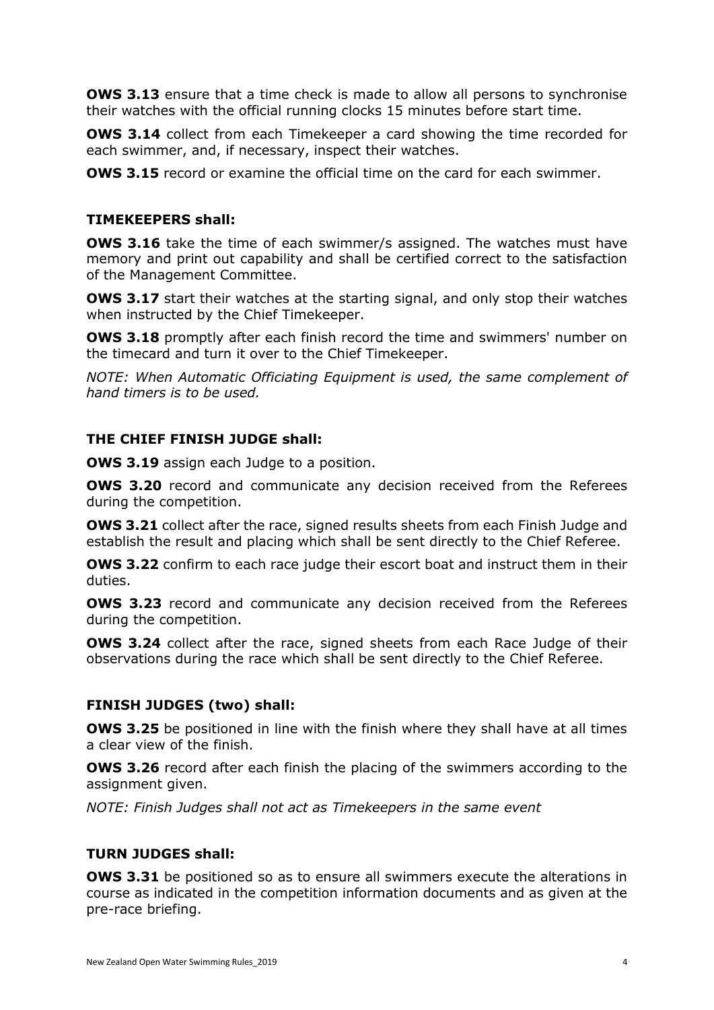**OWS 3.13** ensure that a time check is made to allow all persons to synchronise their watches with the official running clocks 15 minutes before start time.

**OWS 3.14** collect from each Timekeeper a card showing the time recorded for each swimmer, and, if necessary, inspect their watches.

**OWS 3.15** record or examine the official time on the card for each swimmer.

#### **TIMEKEEPERS shall:**

**OWS 3.16** take the time of each swimmer/s assigned. The watches must have memory and print out capability and shall be certified correct to the satisfaction of the Management Committee.

**OWS 3.17** start their watches at the starting signal, and only stop their watches when instructed by the Chief Timekeeper.

**OWS 3.18** promptly after each finish record the time and swimmers' number on the timecard and turn it over to the Chief Timekeeper.

*NOTE: When Automatic Officiating Equipment is used, the same complement of hand timers is to be used.*

#### **THE CHIEF FINISH JUDGE shall:**

**OWS 3.19** assign each Judge to a position.

**OWS 3.20** record and communicate any decision received from the Referees during the competition.

**OWS 3.21** collect after the race, signed results sheets from each Finish Judge and establish the result and placing which shall be sent directly to the Chief Referee.

**OWS 3.22** confirm to each race judge their escort boat and instruct them in their duties.

**OWS 3.23** record and communicate any decision received from the Referees during the competition.

**OWS 3.24** collect after the race, signed sheets from each Race Judge of their observations during the race which shall be sent directly to the Chief Referee.

#### **FINISH JUDGES (two) shall:**

**OWS 3.25** be positioned in line with the finish where they shall have at all times a clear view of the finish.

**OWS 3.26** record after each finish the placing of the swimmers according to the assignment given.

*NOTE: Finish Judges shall not act as Timekeepers in the same event*

#### **TURN JUDGES shall:**

**OWS 3.31** be positioned so as to ensure all swimmers execute the alterations in course as indicated in the competition information documents and as given at the pre-race briefing.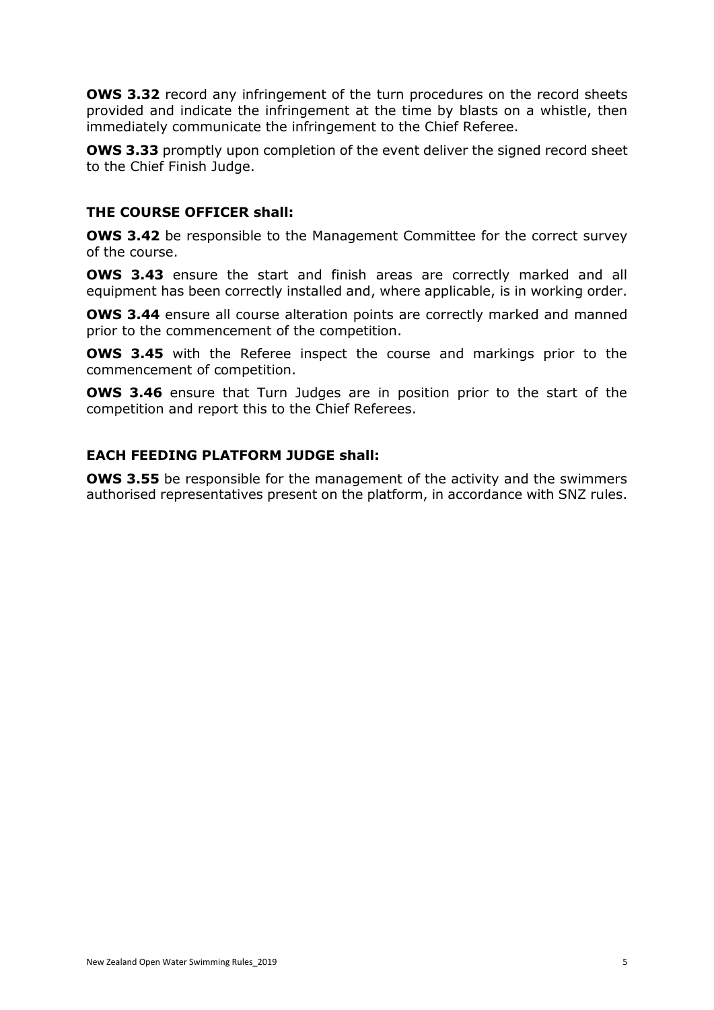**OWS 3.32** record any infringement of the turn procedures on the record sheets provided and indicate the infringement at the time by blasts on a whistle, then immediately communicate the infringement to the Chief Referee.

**OWS 3.33** promptly upon completion of the event deliver the signed record sheet to the Chief Finish Judge.

### **THE COURSE OFFICER shall:**

**OWS 3.42** be responsible to the Management Committee for the correct survey of the course.

**OWS 3.43** ensure the start and finish areas are correctly marked and all equipment has been correctly installed and, where applicable, is in working order.

**OWS 3.44** ensure all course alteration points are correctly marked and manned prior to the commencement of the competition.

**OWS 3.45** with the Referee inspect the course and markings prior to the commencement of competition.

**OWS 3.46** ensure that Turn Judges are in position prior to the start of the competition and report this to the Chief Referees.

#### **EACH FEEDING PLATFORM JUDGE shall:**

**OWS 3.55** be responsible for the management of the activity and the swimmers authorised representatives present on the platform, in accordance with SNZ rules.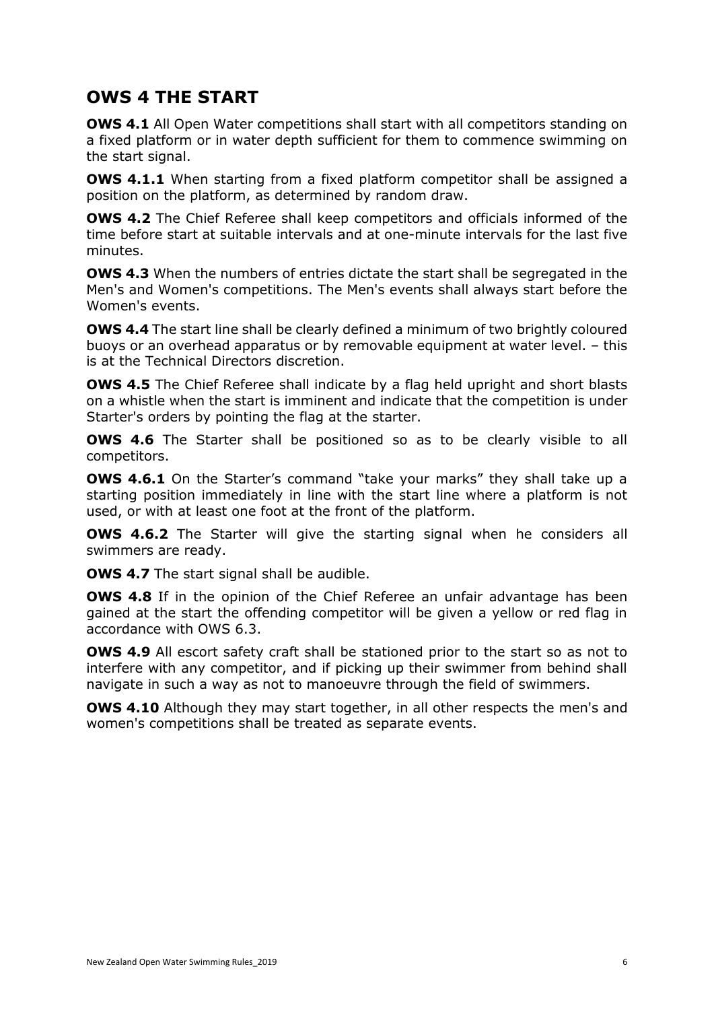## <span id="page-5-0"></span>**OWS 4 THE START**

**OWS 4.1** All Open Water competitions shall start with all competitors standing on a fixed platform or in water depth sufficient for them to commence swimming on the start signal.

**OWS 4.1.1** When starting from a fixed platform competitor shall be assigned a position on the platform, as determined by random draw.

**OWS 4.2** The Chief Referee shall keep competitors and officials informed of the time before start at suitable intervals and at one-minute intervals for the last five minutes.

**OWS 4.3** When the numbers of entries dictate the start shall be segregated in the Men's and Women's competitions. The Men's events shall always start before the Women's events.

**OWS 4.4** The start line shall be clearly defined a minimum of two brightly coloured buoys or an overhead apparatus or by removable equipment at water level. – this is at the Technical Directors discretion.

**OWS 4.5** The Chief Referee shall indicate by a flag held upright and short blasts on a whistle when the start is imminent and indicate that the competition is under Starter's orders by pointing the flag at the starter.

**OWS 4.6** The Starter shall be positioned so as to be clearly visible to all competitors.

**OWS 4.6.1** On the Starter's command "take your marks" they shall take up a starting position immediately in line with the start line where a platform is not used, or with at least one foot at the front of the platform.

**OWS 4.6.2** The Starter will give the starting signal when he considers all swimmers are ready.

**OWS 4.7** The start signal shall be audible.

**OWS 4.8** If in the opinion of the Chief Referee an unfair advantage has been gained at the start the offending competitor will be given a yellow or red flag in accordance with OWS 6.3.

**OWS 4.9** All escort safety craft shall be stationed prior to the start so as not to interfere with any competitor, and if picking up their swimmer from behind shall navigate in such a way as not to manoeuvre through the field of swimmers.

**OWS 4.10** Although they may start together, in all other respects the men's and women's competitions shall be treated as separate events.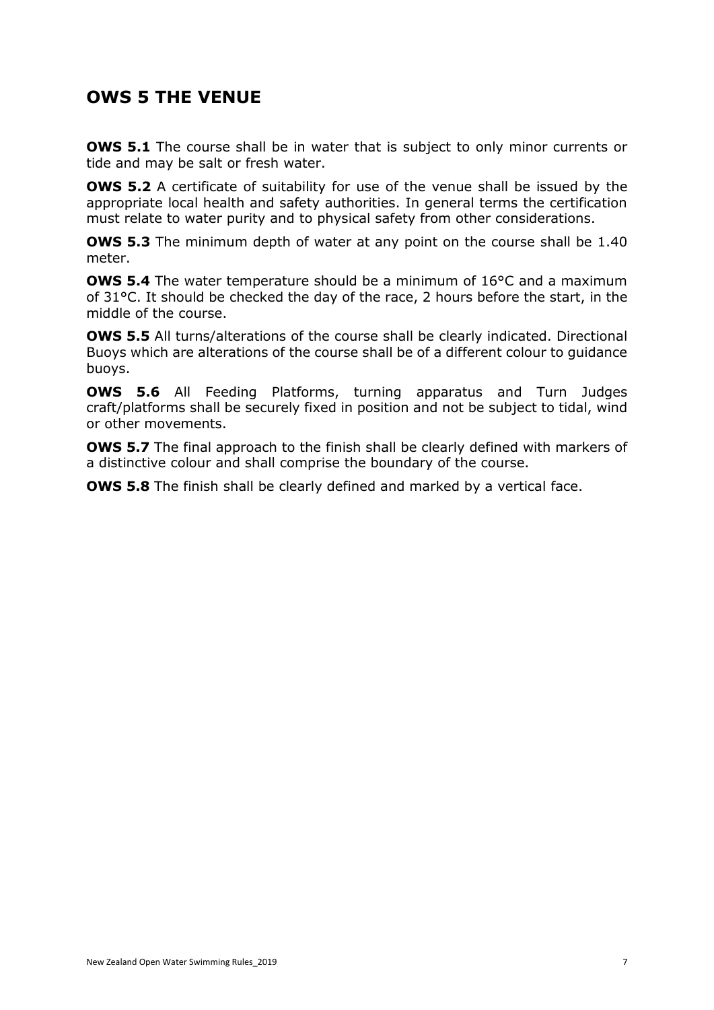## <span id="page-6-0"></span>**OWS 5 THE VENUE**

**OWS 5.1** The course shall be in water that is subject to only minor currents or tide and may be salt or fresh water.

**OWS 5.2** A certificate of suitability for use of the venue shall be issued by the appropriate local health and safety authorities. In general terms the certification must relate to water purity and to physical safety from other considerations.

**OWS 5.3** The minimum depth of water at any point on the course shall be 1.40 meter.

**OWS 5.4** The water temperature should be a minimum of 16°C and a maximum of 31°C. It should be checked the day of the race, 2 hours before the start, in the middle of the course.

**OWS 5.5** All turns/alterations of the course shall be clearly indicated. Directional Buoys which are alterations of the course shall be of a different colour to guidance buoys.

**OWS 5.6** All Feeding Platforms, turning apparatus and Turn Judges craft/platforms shall be securely fixed in position and not be subject to tidal, wind or other movements.

**OWS 5.7** The final approach to the finish shall be clearly defined with markers of a distinctive colour and shall comprise the boundary of the course.

**OWS 5.8** The finish shall be clearly defined and marked by a vertical face.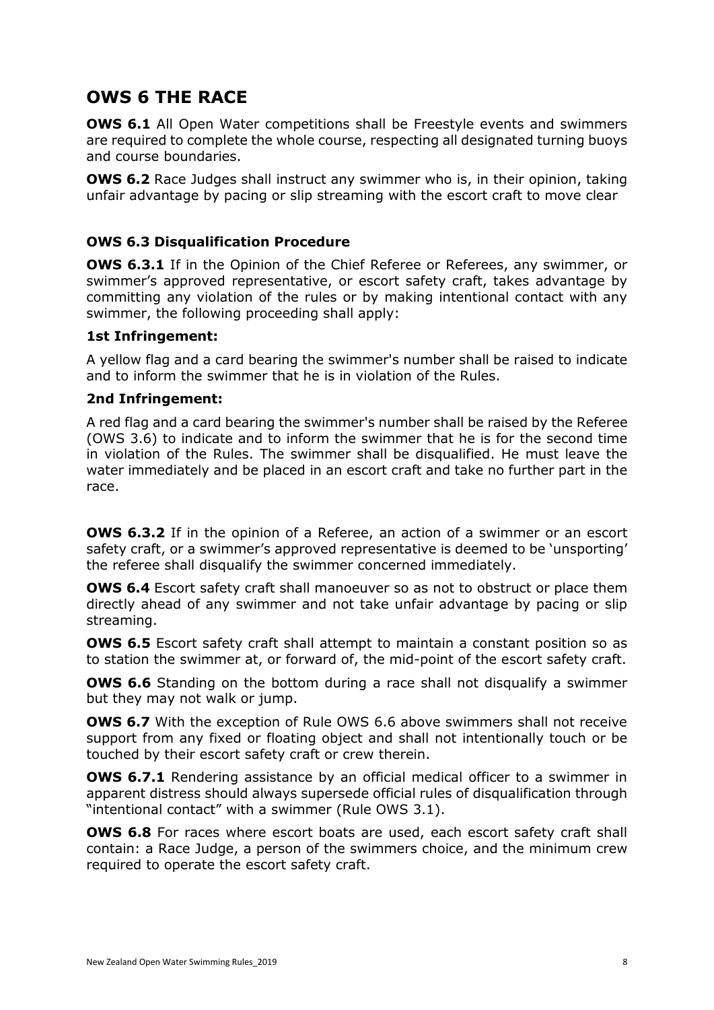## <span id="page-7-0"></span>**OWS 6 THE RACE**

**OWS 6.1** All Open Water competitions shall be Freestyle events and swimmers are required to complete the whole course, respecting all designated turning buoys and course boundaries.

**OWS 6.2** Race Judges shall instruct any swimmer who is, in their opinion, taking unfair advantage by pacing or slip streaming with the escort craft to move clear

## **OWS 6.3 Disqualification Procedure**

**OWS 6.3.1** If in the Opinion of the Chief Referee or Referees, any swimmer, or swimmer's approved representative, or escort safety craft, takes advantage by committing any violation of the rules or by making intentional contact with any swimmer, the following proceeding shall apply:

#### **1st Infringement:**

A yellow flag and a card bearing the swimmer's number shall be raised to indicate and to inform the swimmer that he is in violation of the Rules.

#### **2nd Infringement:**

A red flag and a card bearing the swimmer's number shall be raised by the Referee (OWS 3.6) to indicate and to inform the swimmer that he is for the second time in violation of the Rules. The swimmer shall be disqualified. He must leave the water immediately and be placed in an escort craft and take no further part in the race.

**OWS 6.3.2** If in the opinion of a Referee, an action of a swimmer or an escort safety craft, or a swimmer's approved representative is deemed to be 'unsporting' the referee shall disqualify the swimmer concerned immediately.

**OWS 6.4** Escort safety craft shall manoeuver so as not to obstruct or place them directly ahead of any swimmer and not take unfair advantage by pacing or slip streaming.

**OWS 6.5** Escort safety craft shall attempt to maintain a constant position so as to station the swimmer at, or forward of, the mid-point of the escort safety craft.

**OWS 6.6** Standing on the bottom during a race shall not disqualify a swimmer but they may not walk or jump.

**OWS 6.7** With the exception of Rule OWS 6.6 above swimmers shall not receive support from any fixed or floating object and shall not intentionally touch or be touched by their escort safety craft or crew therein.

**OWS 6.7.1** Rendering assistance by an official medical officer to a swimmer in apparent distress should always supersede official rules of disqualification through "intentional contact" with a swimmer (Rule OWS 3.1).

**OWS 6.8** For races where escort boats are used, each escort safety craft shall contain: a Race Judge, a person of the swimmers choice, and the minimum crew required to operate the escort safety craft.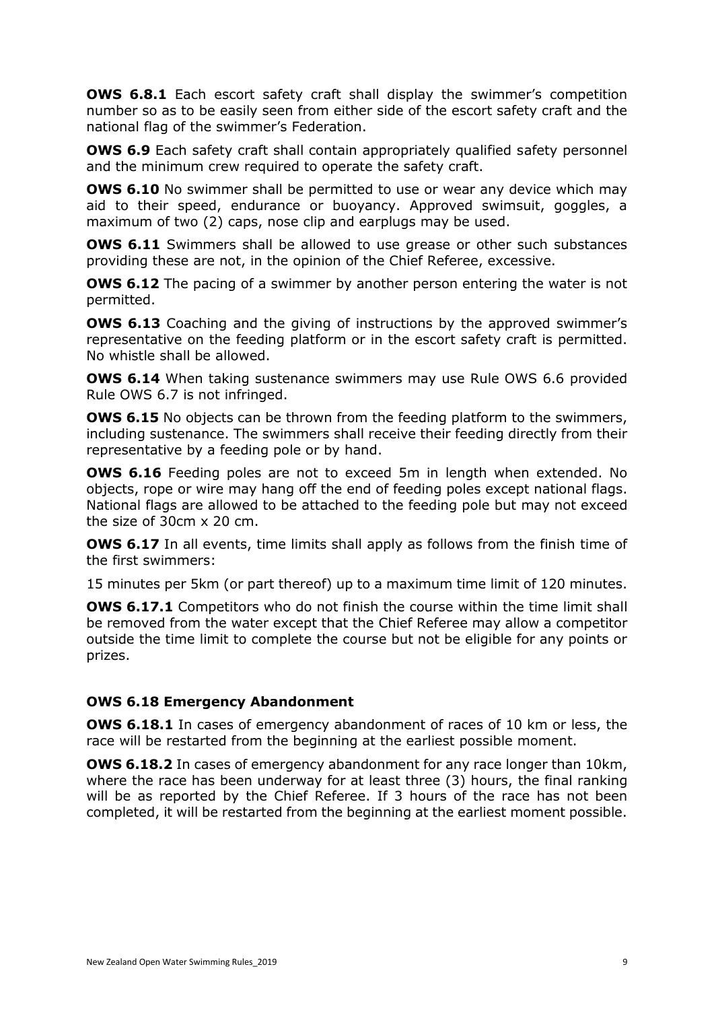**OWS 6.8.1** Each escort safety craft shall display the swimmer's competition number so as to be easily seen from either side of the escort safety craft and the national flag of the swimmer's Federation.

**OWS 6.9** Each safety craft shall contain appropriately qualified safety personnel and the minimum crew required to operate the safety craft.

**OWS 6.10** No swimmer shall be permitted to use or wear any device which may aid to their speed, endurance or buoyancy. Approved swimsuit, goggles, a maximum of two (2) caps, nose clip and earplugs may be used.

**OWS 6.11** Swimmers shall be allowed to use grease or other such substances providing these are not, in the opinion of the Chief Referee, excessive.

**OWS 6.12** The pacing of a swimmer by another person entering the water is not permitted.

**OWS 6.13** Coaching and the giving of instructions by the approved swimmer's representative on the feeding platform or in the escort safety craft is permitted. No whistle shall be allowed.

**OWS 6.14** When taking sustenance swimmers may use Rule OWS 6.6 provided Rule OWS 6.7 is not infringed.

**OWS 6.15** No objects can be thrown from the feeding platform to the swimmers, including sustenance. The swimmers shall receive their feeding directly from their representative by a feeding pole or by hand.

**OWS 6.16** Feeding poles are not to exceed 5m in length when extended. No objects, rope or wire may hang off the end of feeding poles except national flags. National flags are allowed to be attached to the feeding pole but may not exceed the size of 30cm x 20 cm.

**OWS 6.17** In all events, time limits shall apply as follows from the finish time of the first swimmers:

15 minutes per 5km (or part thereof) up to a maximum time limit of 120 minutes.

**OWS 6.17.1** Competitors who do not finish the course within the time limit shall be removed from the water except that the Chief Referee may allow a competitor outside the time limit to complete the course but not be eligible for any points or prizes.

## **OWS 6.18 Emergency Abandonment**

**OWS 6.18.1** In cases of emergency abandonment of races of 10 km or less, the race will be restarted from the beginning at the earliest possible moment.

**OWS 6.18.2** In cases of emergency abandonment for any race longer than 10km, where the race has been underway for at least three (3) hours, the final ranking will be as reported by the Chief Referee. If 3 hours of the race has not been completed, it will be restarted from the beginning at the earliest moment possible.